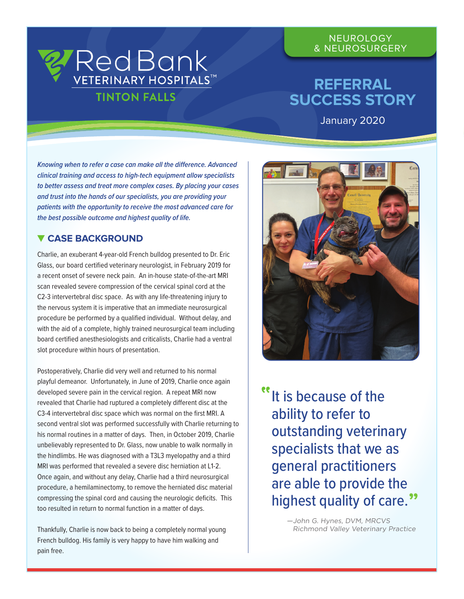### **NEUROLOGY** & NEUROSURGERY

# **REFERRAL SUCCESS STORY**

January 2020

*Knowing when to refer a case can make all the difference. Advanced clinical training and access to high-tech equipment allow specialists to better assess and treat more complex cases. By placing your cases and trust into the hands of our specialists, you are providing your patients with the opportunity to receive the most advanced care for the best possible outcome and highest quality of life.* 

RedBank

**TINTON FALLS** 

**VETERINARY HOSPITALST** 

## **CASE BACKGROUND**

Charlie, an exuberant 4-year-old French bulldog presented to Dr. Eric Glass, our board certified veterinary neurologist, in February 2019 for a recent onset of severe neck pain. An in-house state-of-the-art MRI scan revealed severe compression of the cervical spinal cord at the C2-3 intervertebral disc space. As with any life-threatening injury to the nervous system it is imperative that an immediate neurosurgical procedure be performed by a qualified individual. Without delay, and with the aid of a complete, highly trained neurosurgical team including board certified anesthesiologists and criticalists, Charlie had a ventral slot procedure within hours of presentation.

Postoperatively, Charlie did very well and returned to his normal playful demeanor. Unfortunately, in June of 2019, Charlie once again developed severe pain in the cervical region. A repeat MRI now revealed that Charlie had ruptured a completely different disc at the C3-4 intervertebral disc space which was normal on the first MRI. A second ventral slot was performed successfully with Charlie returning to his normal routines in a matter of days. Then, in October 2019, Charlie unbelievably represented to Dr. Glass, now unable to walk normally in the hindlimbs. He was diagnosed with a T3L3 myelopathy and a third MRI was performed that revealed a severe disc herniation at L1-2. Once again, and without any delay, Charlie had a third neurosurgical procedure, a hemilaminectomy, to remove the herniated disc material compressing the spinal cord and causing the neurologic deficits. This too resulted in return to normal function in a matter of days.

Thankfully, Charlie is now back to being a completely normal young French bulldog. His family is very happy to have him walking and pain free.



It is because of the ability to refer to outstanding veterinary specialists that we as general practitioners are able to provide the highest quality of care. **"**

> —John G. Hynes, DVM, MRCVS Richmond Valley Veterinary Practice